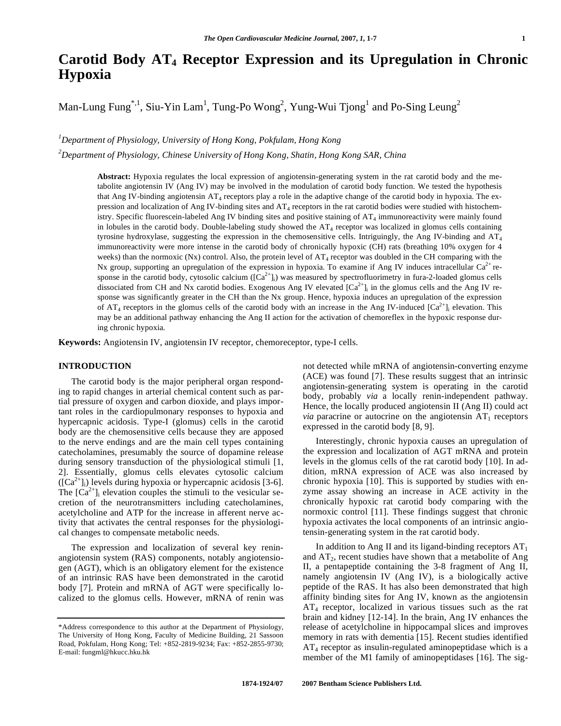# **Carotid Body AT4 Receptor Expression and its Upregulation in Chronic Hypoxia**

Man-Lung Fung<sup>\*,1</sup>, Siu-Yin Lam<sup>1</sup>, Tung-Po Wong<sup>2</sup>, Yung-Wui Tjong<sup>1</sup> and Po-Sing Leung<sup>2</sup>

*1 Department of Physiology, University of Hong Kong, Pokfulam, Hong Kong* 

*2 Department of Physiology, Chinese University of Hong Kong, Shatin, Hong Kong SAR, China* 

**Abstract:** Hypoxia regulates the local expression of angiotensin-generating system in the rat carotid body and the metabolite angiotensin IV (Ang IV) may be involved in the modulation of carotid body function. We tested the hypothesis that Ang IV-binding angiotensin AT<sub>4</sub> receptors play a role in the adaptive change of the carotid body in hypoxia. The expression and localization of Ang IV-binding sites and AT<sub>4</sub> receptors in the rat carotid bodies were studied with histochemistry. Specific fluorescein-labeled Ang IV binding sites and positive staining of AT<sub>4</sub> immunoreactivity were mainly found in lobules in the carotid body. Double-labeling study showed the  $AT_4$  receptor was localized in glomus cells containing tyrosine hydroxylase, suggesting the expression in the chemosensitive cells. Intriguingly, the Ang IV-binding and  $AT_4$ immunoreactivity were more intense in the carotid body of chronically hypoxic (CH) rats (breathing 10% oxygen for 4 weeks) than the normoxic (Nx) control. Also, the protein level of  $AT_4$  receptor was doubled in the CH comparing with the Nx group, supporting an upregulation of the expression in hypoxia. To examine if Ang IV induces intracellular  $Ca^{2+}$  response in the carotid body, cytosolic calcium  $([Ca^{2+}]_i)$  was measured by spectrofluorimetry in fura-2-loaded glomus cells dissociated from CH and Nx carotid bodies. Exogenous Ang IV elevated  $[Ca<sup>2+</sup>]$ <sub>i</sub> in the glomus cells and the Ang IV response was significantly greater in the CH than the Nx group. Hence, hypoxia induces an upregulation of the expression of AT<sub>4</sub> receptors in the glomus cells of the carotid body with an increase in the Ang IV-induced  $[Ca^{2+}]\neq$  elevation. This may be an additional pathway enhancing the Ang II action for the activation of chemoreflex in the hypoxic response during chronic hypoxia.

**Keywords:** Angiotensin IV, angiotensin IV receptor, chemoreceptor, type-I cells.

# **INTRODUCTION**

 The carotid body is the major peripheral organ responding to rapid changes in arterial chemical content such as partial pressure of oxygen and carbon dioxide, and plays important roles in the cardiopulmonary responses to hypoxia and hypercapnic acidosis. Type-I (glomus) cells in the carotid body are the chemosensitive cells because they are apposed to the nerve endings and are the main cell types containing catecholamines, presumably the source of dopamine release during sensory transduction of the physiological stimuli [1, 2]. Essentially, glomus cells elevates cytosolic calcium  $([Ca<sup>2+</sup>]$ <sub>i</sub>) levels during hypoxia or hypercapnic acidosis [3-6]. The  $[Ca^{2+}]_i$  elevation couples the stimuli to the vesicular secretion of the neurotransmitters including catecholamines, acetylcholine and ATP for the increase in afferent nerve activity that activates the central responses for the physiological changes to compensate metabolic needs.

 The expression and localization of several key reninangiotensin system (RAS) components, notably angiotensiogen (AGT), which is an obligatory element for the existence of an intrinsic RAS have been demonstrated in the carotid body [7]. Protein and mRNA of AGT were specifically localized to the glomus cells. However, mRNA of renin was not detected while mRNA of angiotensin-converting enzyme (ACE) was found [7]. These results suggest that an intrinsic angiotensin-generating system is operating in the carotid body, probably *via* a locally renin-independent pathway. Hence, the locally produced angiotensin II (Ang II) could act *via* paracrine or autocrine on the angiotensin  $AT_1$  receptors expressed in the carotid body [8, 9].

 Interestingly, chronic hypoxia causes an upregulation of the expression and localization of AGT mRNA and protein levels in the glomus cells of the rat carotid body [10]. In addition, mRNA expression of ACE was also increased by chronic hypoxia [10]. This is supported by studies with enzyme assay showing an increase in ACE activity in the chronically hypoxic rat carotid body comparing with the normoxic control [11]. These findings suggest that chronic hypoxia activates the local components of an intrinsic angiotensin-generating system in the rat carotid body.

In addition to Ang II and its ligand-binding receptors  $AT_1$ and  $AT_2$ , recent studies have shown that a metabolite of Ang II, a pentapeptide containing the 3-8 fragment of Ang II, namely angiotensin IV (Ang IV), is a biologically active peptide of the RAS. It has also been demonstrated that high affinity binding sites for Ang IV, known as the angiotensin  $AT_4$  receptor, localized in various tissues such as the rat brain and kidney [12-14]. In the brain, Ang IV enhances the release of acetylcholine in hippocampal slices and improves memory in rats with dementia [15]. Recent studies identified  $AT_4$  receptor as insulin-regulated aminopeptidase which is a member of the M1 family of aminopeptidases [16]. The sig-

<sup>\*</sup>Address correspondence to this author at the Department of Physiology, The University of Hong Kong, Faculty of Medicine Building, 21 Sassoon Road, Pokfulam, Hong Kong; Tel: +852-2819-9234; Fax: +852-2855-9730; E-mail: fungml@hkucc.hku.hk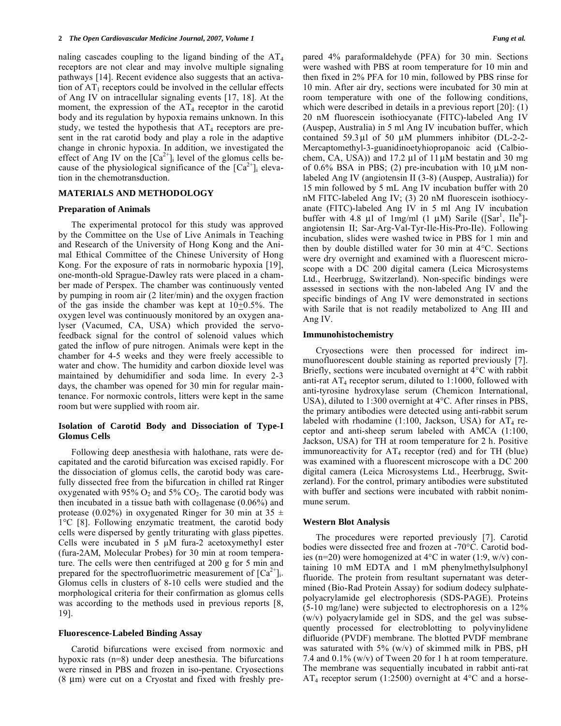naling cascades coupling to the ligand binding of the  $AT_4$ receptors are not clear and may involve multiple signaling pathways [14]. Recent evidence also suggests that an activation of  $AT_1$  receptors could be involved in the cellular effects of Ang IV on intracellular signaling events [17, 18]. At the moment, the expression of the  $AT_4$  receptor in the carotid body and its regulation by hypoxia remains unknown. In this study, we tested the hypothesis that  $AT_4$  receptors are present in the rat carotid body and play a role in the adaptive change in chronic hypoxia. In addition, we investigated the effect of Ang IV on the  $[Ca^{2+}]_i$  level of the glomus cells because of the physiological significance of the  $[Ca^{2+}]_i$  elevation in the chemotransduction.

#### **MATERIALS AND METHODOLOGY**

#### **Preparation of Animals**

 The experimental protocol for this study was approved by the Committee on the Use of Live Animals in Teaching and Research of the University of Hong Kong and the Animal Ethical Committee of the Chinese University of Hong Kong. For the exposure of rats in normobaric hypoxia [19], one-month-old Sprague-Dawley rats were placed in a chamber made of Perspex. The chamber was continuously vented by pumping in room air (2 liter/min) and the oxygen fraction of the gas inside the chamber was kept at  $10+0.5\%$ . The oxygen level was continuously monitored by an oxygen analyser (Vacumed, CA, USA) which provided the servofeedback signal for the control of solenoid values which gated the inflow of pure nitrogen. Animals were kept in the chamber for 4-5 weeks and they were freely accessible to water and chow. The humidity and carbon dioxide level was maintained by dehumidifier and soda lime. In every 2-3 days, the chamber was opened for 30 min for regular maintenance. For normoxic controls, litters were kept in the same room but were supplied with room air.

# **Isolation of Carotid Body and Dissociation of Type-I Glomus Cells**

 Following deep anesthesia with halothane, rats were decapitated and the carotid bifurcation was excised rapidly. For the dissociation of glomus cells, the carotid body was carefully dissected free from the bifurcation in chilled rat Ringer oxygenated with  $95\%$  O<sub>2</sub> and  $5\%$  CO<sub>2</sub>. The carotid body was then incubated in a tissue bath with collagenase (0.06%) and protease (0.02%) in oxygenated Ringer for 30 min at 35  $\pm$ 1°C [8]. Following enzymatic treatment, the carotid body cells were dispersed by gently triturating with glass pipettes. Cells were incubated in 5 μM fura-2 acetoxymethyl ester (fura-2AM, Molecular Probes) for 30 min at room temperature. The cells were then centrifuged at 200 g for 5 min and prepared for the spectrofluorimetric measurement of  $[Ca^{2+}]_i$ . Glomus cells in clusters of 8-10 cells were studied and the morphological criteria for their confirmation as glomus cells was according to the methods used in previous reports [8, 19].

## **Fluorescence-Labeled Binding Assay**

 Carotid bifurcations were excised from normoxic and hypoxic rats (n=8) under deep anesthesia. The bifurcations were rinsed in PBS and frozen in iso-pentane. Cryosections (8 μm) were cut on a Cryostat and fixed with freshly prepared 4% paraformaldehyde (PFA) for 30 min. Sections were washed with PBS at room temperature for 10 min and then fixed in 2% PFA for 10 min, followed by PBS rinse for 10 min. After air dry, sections were incubated for 30 min at room temperature with one of the following conditions, which were described in details in a previous report [20]: (1) 20 nM fluorescein isothiocyanate (FITC)-labeled Ang IV (Auspep, Australia) in 5 ml Ang IV incubation buffer, which contained 59.3μl of 50 μM plummers inhibitor (DL-2-2- Mercaptomethyl-3-guanidinoetyhiopropanoic acid (Calbiochem, CA, USA)) and 17.2 μl of 11μM bestatin and 30 mg of 0.6% BSA in PBS; (2) pre-incubation with 10  $\mu$ M nonlabeled Ang IV (angiotensin II (3-8) (Auspep, Australia)) for 15 min followed by 5 mL Ang IV incubation buffer with 20 nM FITC-labeled Ang IV; (3) 20 nM fluorescein isothiocyanate (FITC)-labeled Ang IV in 5 ml Ang IV incubation buffer with 4.8 µl of 1mg/ml  $(1 \mu M)$  Sarile ([Sar<sup>1</sup>, Ile<sup>8</sup>]angiotensin II; Sar-Arg-Val-Tyr-Ile-His-Pro-Ile). Following incubation, slides were washed twice in PBS for 1 min and then by double distilled water for 30 min at 4°C. Sections were dry overnight and examined with a fluorescent microscope with a DC 200 digital camera (Leica Microsystems Ltd., Heerbrugg, Switzerland). Non-specific bindings were assessed in sections with the non-labeled Ang IV and the specific bindings of Ang IV were demonstrated in sections with Sarile that is not readily metabolized to Ang III and Ang IV.

#### **Immunohistochemistry**

 Cryosections were then processed for indirect immunofluorescent double staining as reported previously [7]. Briefly, sections were incubated overnight at 4°C with rabbit anti-rat  $AT_4$  receptor serum, diluted to 1:1000, followed with anti-tyrosine hydroxylase serum (Chemicon International, USA), diluted to 1:300 overnight at 4°C. After rinses in PBS, the primary antibodies were detected using anti-rabbit serum labeled with rhodamine  $(1:100,$  Jackson, USA) for  $AT_4$  receptor and anti-sheep serum labeled with AMCA (1:100, Jackson, USA) for TH at room temperature for 2 h. Positive immunoreactivity for  $AT_4$  receptor (red) and for TH (blue) was examined with a fluorescent microscope with a DC 200 digital camera (Leica Microsystems Ltd., Heerbrugg, Switzerland). For the control, primary antibodies were substituted with buffer and sections were incubated with rabbit nonimmune serum.

#### **Western Blot Analysis**

 The procedures were reported previously [7]. Carotid bodies were dissected free and frozen at -70°C. Carotid bodies (n=20) were homogenized at 4°C in water (1:9, w/v) containing 10 mM EDTA and 1 mM phenylmethylsulphonyl fluoride. The protein from resultant supernatant was determined (Bio-Rad Protein Assay) for sodium dodecy sulphatepolyacrylamide gel electrophoresis (SDS-PAGE). Proteins (5-10 mg/lane) were subjected to electrophoresis on a 12% (w/v) polyacrylamide gel in SDS, and the gel was subsequently processed for electroblotting to polyvinylidene difluoride (PVDF) membrane. The blotted PVDF membrane was saturated with 5% (w/v) of skimmed milk in PBS, pH 7.4 and 0.1% (w/v) of Tween 20 for 1 h at room temperature. The membrane was sequentially incubated in rabbit anti-rat  $AT_4$  receptor serum (1:2500) overnight at 4 $\rm ^{\circ}C$  and a horse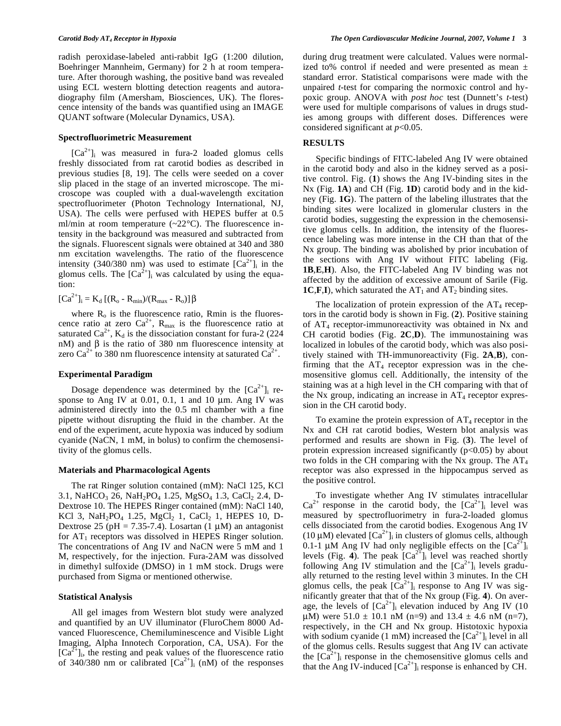radish peroxidase-labeled anti-rabbit IgG (1:200 dilution, Boehringer Mannheim, Germany) for 2 h at room temperature. After thorough washing, the positive band was revealed using ECL western blotting detection reagents and autoradiography film (Amersham, Biosciences, UK). The florescence intensity of the bands was quantified using an IMAGE QUANT software (Molecular Dynamics, USA).

## **Spectrofluorimetric Measurement**

 $[Ca^{2+}]$ <sub>i</sub> was measured in fura-2 loaded glomus cells freshly dissociated from rat carotid bodies as described in previous studies [8, 19]. The cells were seeded on a cover slip placed in the stage of an inverted microscope. The microscope was coupled with a dual-wavelength excitation spectrofluorimeter (Photon Technology International, NJ, USA). The cells were perfused with HEPES buffer at 0.5 ml/min at room temperature  $(-22^{\circ}C)$ . The fluorescence intensity in the background was measured and subtracted from the signals. Fluorescent signals were obtained at 340 and 380 nm excitation wavelengths. The ratio of the fluorescence intensity (340/380 nm) was used to estimate  $[Ca^{2+}]$ <sub>i</sub> in the glomus cells. The  $[Ca^{2+}]$ <sub>i</sub> was calculated by using the equation:

 $[Ca^{2+}]_i = K_d [(R_o - R_{min})/(R_{max} - R_o)] \beta$ 

where  $R_0$  is the fluorescence ratio, Rmin is the fluorescence ratio at zero  $Ca^{2+}$ ,  $R_{max}$  is the fluorescence ratio at saturated  $Ca^{2+}$ ,  $K_d$  is the dissociation constant for fura-2 (224) nM) and  $\beta$  is the ratio of 380 nm fluorescence intensity at zero Ca<sup>2+</sup> to 380 nm fluorescence intensity at saturated Ca<sup>2+</sup>.

## **Experimental Paradigm**

Dosage dependence was determined by the  $[Ca^{2+}]$ <sub>i</sub> response to Ang IV at  $0.01$ ,  $0.1$ , 1 and 10  $\mu$ m. Ang IV was administered directly into the 0.5 ml chamber with a fine pipette without disrupting the fluid in the chamber. At the end of the experiment, acute hypoxia was induced by sodium cyanide (NaCN, 1 mM, in bolus) to confirm the chemosensitivity of the glomus cells.

#### **Materials and Pharmacological Agents**

 The rat Ringer solution contained (mM): NaCl 125, KCl 3.1, NaHCO<sub>3</sub> 26, NaH<sub>2</sub>PO<sub>4</sub> 1.25, MgSO<sub>4</sub> 1.3, CaCl<sub>2</sub> 2.4, D-Dextrose 10. The HEPES Ringer contained (mM): NaCl 140, KCl 3, NaH<sub>2</sub>PO<sub>4</sub> 1.25, MgCl<sub>2</sub> 1, CaCl<sub>2</sub> 1, HEPES 10, D-Dextrose 25 (pH = 7.35-7.4). Losartan (1  $\mu$ M) an antagonist for  $AT_1$  receptors was dissolved in HEPES Ringer solution. The concentrations of Ang IV and NaCN were 5 mM and 1 M, respectively, for the injection. Fura-2AM was dissolved in dimethyl sulfoxide (DMSO) in 1 mM stock. Drugs were purchased from Sigma or mentioned otherwise.

#### **Statistical Analysis**

 All gel images from Western blot study were analyzed and quantified by an UV illuminator (FluroChem 8000 Advanced Fluorescence, Chemiluminescence and Visible Light Imaging, Alpha Innotech Corporation, CA, USA). For the  $[Ca^{2+}]$ <sub>i</sub>, the resting and peak values of the fluorescence ratio of 340/380 nm or calibrated  $[Ca^{2+}]$ <sub>i</sub> (nM) of the responses during drug treatment were calculated. Values were normalized to% control if needed and were presented as mean ± standard error. Statistical comparisons were made with the unpaired *t*-test for comparing the normoxic control and hypoxic group. ANOVA with *post hoc* test (Dunnett's *t*-test) were used for multiple comparisons of values in drugs studies among groups with different doses. Differences were considered significant at *p*<0.05.

#### **RESULTS**

 Specific bindings of FITC-labeled Ang IV were obtained in the carotid body and also in the kidney served as a positive control. Fig. (**1**) shows the Ang IV-binding sites in the Nx (Fig. **1A**) and CH (Fig. **1D**) carotid body and in the kidney (Fig. **1G**). The pattern of the labeling illustrates that the binding sites were localized in glomerular clusters in the carotid bodies, suggesting the expression in the chemosensitive glomus cells. In addition, the intensity of the fluorescence labeling was more intense in the CH than that of the Nx group. The binding was abolished by prior incubation of the sections with Ang IV without FITC labeling (Fig. **1B**,**E**,**H**). Also, the FITC-labeled Ang IV binding was not affected by the addition of excessive amount of Sarile (Fig. **1C,F,I**), which saturated the  $AT_1$  and  $AT_2$  binding sites.

The localization of protein expression of the  $AT_4$  receptors in the carotid body is shown in Fig. (**2**). Positive staining of AT4 receptor-immunoreactivity was obtained in Nx and CH carotid bodies (Fig. **2C**,**D**). The immunostaining was localized in lobules of the carotid body, which was also positively stained with TH-immunoreactivity (Fig. **2A**,**B**), confirming that the  $AT_4$  receptor expression was in the chemosensitive glomus cell. Additionally, the intensity of the staining was at a high level in the CH comparing with that of the Nx group, indicating an increase in  $AT_4$  receptor expression in the CH carotid body.

To examine the protein expression of  $AT_4$  receptor in the Nx and CH rat carotid bodies, Western blot analysis was performed and results are shown in Fig. (**3**). The level of protein expression increased significantly  $(p<0.05)$  by about two folds in the CH comparing with the Nx group. The  $AT_4$ receptor was also expressed in the hippocampus served as the positive control.

 To investigate whether Ang IV stimulates intracellular  $Ca^{2+}$  response in the carotid body, the  $[Ca^{2+}]_i$  level was measured by spectrofluorimetry in fura-2-loaded glomus cells dissociated from the carotid bodies. Exogenous Ang IV (10  $\mu$ M) elevated [Ca<sup>2+</sup>]<sub>i</sub> in clusters of glomus cells, although 0.1-1 μM Ang IV had only negligible effects on the  $[Ca^{2+}]_i$ levels (Fig. 4). The peak  $[Ca^{2+}]$  level was reached shortly following Ang IV stimulation and the  $[Ca^{2+}]_i$  levels gradually returned to the resting level within 3 minutes. In the CH glomus cells, the peak  $[Ca^{2+}]$ <sub>i</sub> response to Ang IV was significantly greater that that of the Nx group (Fig. **4**). On average, the levels of  $[Ca^{2+}]_i$  elevation induced by Ang IV (10)  $\mu$ M) were 51.0  $\pm$  10.1 nM (n=9) and 13.4  $\pm$  4.6 nM (n=7), respectively, in the CH and Nx group. Histotoxic hypoxia with sodium cyanide (1 mM) increased the  $[Ca^{2+}]_i$  level in all of the glomus cells. Results suggest that Ang IV can activate the  $[Ca^{2+}]$ <sub>i</sub> response in the chemosensitive glomus cells and that the Ang IV-induced  $[Ca^{2+}]$ <sub>i</sub> response is enhanced by CH.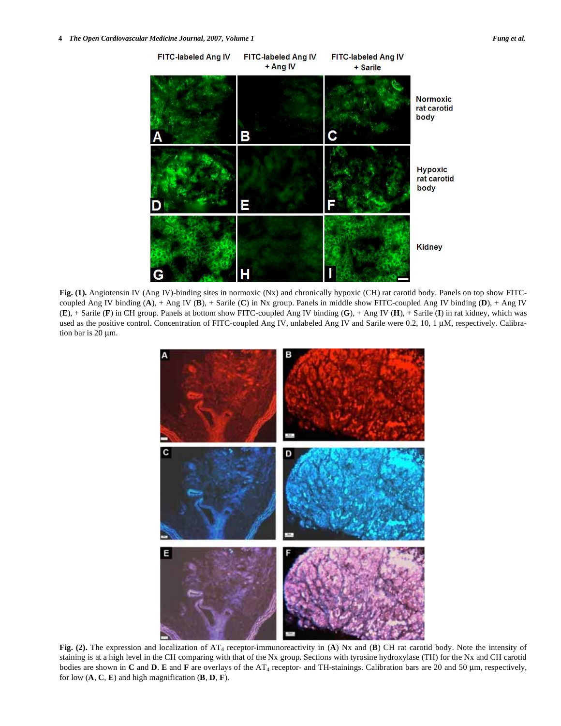

**Fig. (1).** Angiotensin IV (Ang IV)-binding sites in normoxic (Nx) and chronically hypoxic (CH) rat carotid body. Panels on top show FITCcoupled Ang IV binding (**A**), + Ang IV (**B**), + Sarile (**C**) in Nx group. Panels in middle show FITC-coupled Ang IV binding (**D**), + Ang IV (**E**), + Sarile (**F**) in CH group. Panels at bottom show FITC-coupled Ang IV binding (**G**), + Ang IV (**H**), + Sarile (**I**) in rat kidney, which was used as the positive control. Concentration of FITC-coupled Ang IV, unlabeled Ang IV and Sarile were 0.2, 10, 1 μM, respectively. Calibration bar is 20 μm.



**Fig. (2).** The expression and localization of AT4 receptor-immunoreactivity in (**A**) Nx and (**B**) CH rat carotid body. Note the intensity of staining is at a high level in the CH comparing with that of the Nx group. Sections with tyrosine hydroxylase (TH) for the Nx and CH carotid bodies are shown in **C** and **D**. **E** and **F** are overlays of the AT4 receptor- and TH-stainings. Calibration bars are 20 and 50 μm, respectively, for low  $(A, C, E)$  and high magnification  $(B, D, F)$ .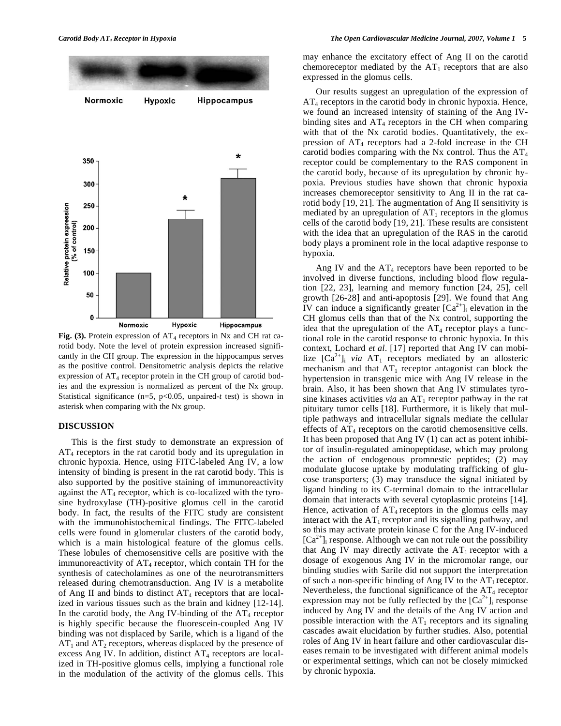

**Fig. (3).** Protein expression of  $AT_4$  receptors in Nx and CH rat carotid body. Note the level of protein expression increased significantly in the CH group. The expression in the hippocampus serves as the positive control. Densitometric analysis depicts the relative expression of  $AT_4$  receptor protein in the CH group of carotid bodies and the expression is normalized as percent of the Nx group. Statistical significance ( $n=5$ ,  $p<0.05$ , unpaired-*t* test) is shown in asterisk when comparing with the Nx group.

# **DISCUSSION**

 This is the first study to demonstrate an expression of AT4 receptors in the rat carotid body and its upregulation in chronic hypoxia. Hence, using FITC-labeled Ang IV, a low intensity of binding is present in the rat carotid body. This is also supported by the positive staining of immunoreactivity against the  $AT_4$  receptor, which is co-localized with the tyrosine hydroxylase (TH)-positive glomus cell in the carotid body. In fact, the results of the FITC study are consistent with the immunohistochemical findings. The FITC-labeled cells were found in glomerular clusters of the carotid body, which is a main histological feature of the glomus cells. These lobules of chemosensitive cells are positive with the immunoreactivity of  $AT_4$  receptor, which contain TH for the synthesis of catecholamines as one of the neurotransmitters released during chemotransduction. Ang IV is a metabolite of Ang II and binds to distinct  $AT_4$  receptors that are localized in various tissues such as the brain and kidney [12-14]. In the carotid body, the Ang IV-binding of the  $AT_4$  receptor is highly specific because the fluorescein-coupled Ang IV binding was not displaced by Sarile, which is a ligand of the  $AT_1$  and  $AT_2$  receptors, whereas displaced by the presence of excess Ang IV. In addition, distinct  $AT_4$  receptors are localized in TH-positive glomus cells, implying a functional role in the modulation of the activity of the glomus cells. This may enhance the excitatory effect of Ang II on the carotid chemoreceptor mediated by the  $AT_1$  receptors that are also expressed in the glomus cells.

 Our results suggest an upregulation of the expression of  $AT_4$  receptors in the carotid body in chronic hypoxia. Hence, we found an increased intensity of staining of the Ang IVbinding sites and  $AT_4$  receptors in the CH when comparing with that of the Nx carotid bodies. Quantitatively, the expression of  $AT_4$  receptors had a 2-fold increase in the CH carotid bodies comparing with the Nx control. Thus the  $AT_4$ receptor could be complementary to the RAS component in the carotid body, because of its upregulation by chronic hypoxia. Previous studies have shown that chronic hypoxia increases chemoreceptor sensitivity to Ang II in the rat carotid body [19, 21]. The augmentation of Ang II sensitivity is mediated by an upregulation of  $AT_1$  receptors in the glomus cells of the carotid body [19, 21]. These results are consistent with the idea that an upregulation of the RAS in the carotid body plays a prominent role in the local adaptive response to hypoxia.

Ang IV and the  $AT_4$  receptors have been reported to be involved in diverse functions, including blood flow regulation [22, 23], learning and memory function [24, 25], cell growth [26-28] and anti-apoptosis [29]. We found that Ang IV can induce a significantly greater  $[Ca^{2+}]_i$  elevation in the CH glomus cells than that of the Nx control, supporting the idea that the upregulation of the  $AT_4$  receptor plays a functional role in the carotid response to chronic hypoxia. In this context, Lochard *et al*. [17] reported that Ang IV can mobilize  $[Ca^{2+}]_i$  *via* AT<sub>1</sub> receptors mediated by an allosteric mechanism and that  $AT_1$  receptor antagonist can block the hypertension in transgenic mice with Ang IV release in the brain. Also, it has been shown that Ang IV stimulates tyrosine kinases activities *via* an  $AT_1$  receptor pathway in the rat pituitary tumor cells [18]. Furthermore, it is likely that multiple pathways and intracellular signals mediate the cellular effects of  $AT_4$  receptors on the carotid chemosensitive cells. It has been proposed that Ang IV (1) can act as potent inhibitor of insulin-regulated aminopeptidase, which may prolong the action of endogenous promnestic peptides; (2) may modulate glucose uptake by modulating trafficking of glucose transporters; (3) may transduce the signal initiated by ligand binding to its C-terminal domain to the intracellular domain that interacts with several cytoplasmic proteins [14]. Hence, activation of  $AT_4$  receptors in the glomus cells may interact with the  $AT_1$  receptor and its signalling pathway, and so this may activate protein kinase C for the Ang IV-induced  $[Ca^{2+}]$ <sub>i</sub> response. Although we can not rule out the possibility that Ang IV may directly activate the  $AT_1$  receptor with a dosage of exogenous Ang IV in the micromolar range, our binding studies with Sarile did not support the interpretation of such a non-specific binding of Ang IV to the  $AT_1$  receptor. Nevertheless, the functional significance of the  $AT_4$  receptor expression may not be fully reflected by the  $[Ca^{2+}]_i$  response induced by Ang IV and the details of the Ang IV action and possible interaction with the  $AT_1$  receptors and its signaling cascades await elucidation by further studies. Also, potential roles of Ang IV in heart failure and other cardiovascular diseases remain to be investigated with different animal models or experimental settings, which can not be closely mimicked by chronic hypoxia.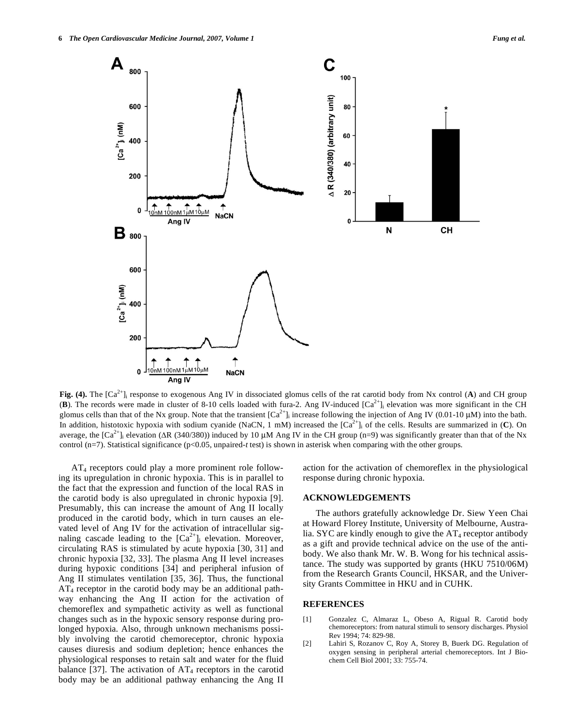

**Fig.** (4). The  $[Ca^{2+}]$  response to exogenous Ang IV in dissociated glomus cells of the rat carotid body from Nx control (A) and CH group **(B)**. The records were made in cluster of 8-10 cells loaded with fura-2. Ang IV-induced  $[Ca<sup>2+</sup>]$  elevation was more significant in the CH glomus cells than that of the Nx group. Note that the transient  $[Ca^{2+}]_i$  increase following the injection of Ang IV (0.01-10 µM) into the bath. In addition, histotoxic hypoxia with sodium cyanide (NaCN, 1 mM) increased the  $[Ca<sup>2+</sup>]$  of the cells. Results are summarized in  $(C)$ . On average, the  $[Ca^{2+}$ ] elevation (ΔR (340/380)) induced by 10 μM Ang IV in the CH group (n=9) was significantly greater than that of the Nx control (n=7). Statistical significance (p<0.05, unpaired-*t* test) is shown in asterisk when comparing with the other groups.

 AT4 receptors could play a more prominent role following its upregulation in chronic hypoxia. This is in parallel to the fact that the expression and function of the local RAS in the carotid body is also upregulated in chronic hypoxia [9]. Presumably, this can increase the amount of Ang II locally produced in the carotid body, which in turn causes an elevated level of Ang IV for the activation of intracellular signaling cascade leading to the  $[Ca^{2+}]$ <sub>i</sub> elevation. Moreover, circulating RAS is stimulated by acute hypoxia [30, 31] and chronic hypoxia [32, 33]. The plasma Ang II level increases during hypoxic conditions [34] and peripheral infusion of Ang II stimulates ventilation [35, 36]. Thus, the functional  $AT_4$  receptor in the carotid body may be an additional pathway enhancing the Ang II action for the activation of chemoreflex and sympathetic activity as well as functional changes such as in the hypoxic sensory response during prolonged hypoxia. Also, through unknown mechanisms possibly involving the carotid chemoreceptor, chronic hypoxia causes diuresis and sodium depletion; hence enhances the physiological responses to retain salt and water for the fluid balance [37]. The activation of  $AT_4$  receptors in the carotid body may be an additional pathway enhancing the Ang II

action for the activation of chemoreflex in the physiological response during chronic hypoxia.

## **ACKNOWLEDGEMENTS**

 The authors gratefully acknowledge Dr. Siew Yeen Chai at Howard Florey Institute, University of Melbourne, Australia. SYC are kindly enough to give the  $AT_4$  receptor antibody as a gift and provide technical advice on the use of the antibody. We also thank Mr. W. B. Wong for his technical assistance. The study was supported by grants (HKU 7510/06M) from the Research Grants Council, HKSAR, and the University Grants Committee in HKU and in CUHK.

# **REFERENCES**

- [1] Gonzalez C, Almaraz L, Obeso A, Rigual R. Carotid body chemoreceptors: from natural stimuli to sensory discharges. Physiol Rev 1994; 74: 829-98.
- [2] Lahiri S, Rozanov C, Roy A, Storey B, Buerk DG. Regulation of oxygen sensing in peripheral arterial chemoreceptors. Int J Biochem Cell Biol 2001; 33: 755-74.